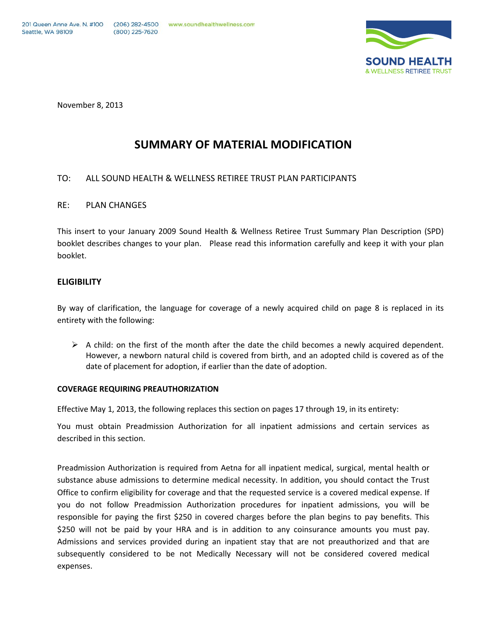

November 8, 2013

# **SUMMARY OF MATERIAL MODIFICATION**

# TO: ALL SOUND HEALTH & WELLNESS RETIREE TRUST PLAN PARTICIPANTS

## RE: PLAN CHANGES

This insert to your January 2009 Sound Health & Wellness Retiree Trust Summary Plan Description (SPD) booklet describes changes to your plan. Please read this information carefully and keep it with your plan booklet.

## **ELIGIBILITY**

By way of clarification, the language for coverage of a newly acquired child on page 8 is replaced in its entirety with the following:

 $\triangleright$  A child: on the first of the month after the date the child becomes a newly acquired dependent. However, a newborn natural child is covered from birth, and an adopted child is covered as of the date of placement for adoption, if earlier than the date of adoption.

### **COVERAGE REQUIRING PREAUTHORIZATION**

Effective May 1, 2013, the following replaces this section on pages 17 through 19, in its entirety:

You must obtain Preadmission Authorization for all inpatient admissions and certain services as described in this section.

Preadmission Authorization is required from Aetna for all inpatient medical, surgical, mental health or substance abuse admissions to determine medical necessity. In addition, you should contact the Trust Office to confirm eligibility for coverage and that the requested service is a covered medical expense. If you do not follow Preadmission Authorization procedures for inpatient admissions, you will be responsible for paying the first \$250 in covered charges before the plan begins to pay benefits. This \$250 will not be paid by your HRA and is in addition to any coinsurance amounts you must pay. Admissions and services provided during an inpatient stay that are not preauthorized and that are subsequently considered to be not Medically Necessary will not be considered covered medical expenses.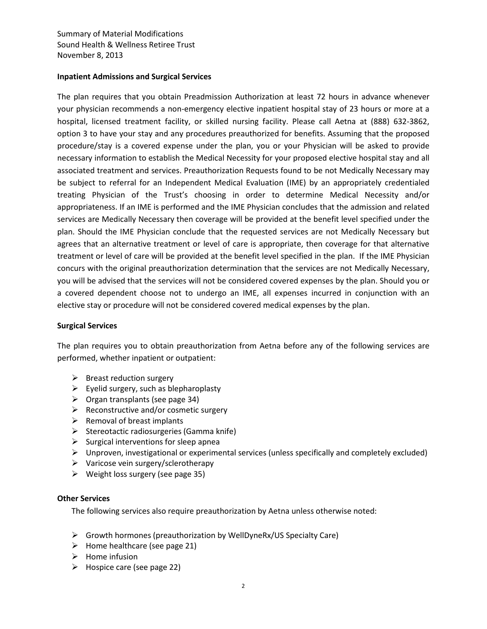## **Inpatient Admissions and Surgical Services**

The plan requires that you obtain Preadmission Authorization at least 72 hours in advance whenever your physician recommends a non-emergency elective inpatient hospital stay of 23 hours or more at a hospital, licensed treatment facility, or skilled nursing facility. Please call Aetna at (888) 632-3862, option 3 to have your stay and any procedures preauthorized for benefits. Assuming that the proposed procedure/stay is a covered expense under the plan, you or your Physician will be asked to provide necessary information to establish the Medical Necessity for your proposed elective hospital stay and all associated treatment and services. Preauthorization Requests found to be not Medically Necessary may be subject to referral for an Independent Medical Evaluation (IME) by an appropriately credentialed treating Physician of the Trust's choosing in order to determine Medical Necessity and/or appropriateness. If an IME is performed and the IME Physician concludes that the admission and related services are Medically Necessary then coverage will be provided at the benefit level specified under the plan. Should the IME Physician conclude that the requested services are not Medically Necessary but agrees that an alternative treatment or level of care is appropriate, then coverage for that alternative treatment or level of care will be provided at the benefit level specified in the plan. If the IME Physician concurs with the original preauthorization determination that the services are not Medically Necessary, you will be advised that the services will not be considered covered expenses by the plan. Should you or a covered dependent choose not to undergo an IME, all expenses incurred in conjunction with an elective stay or procedure will not be considered covered medical expenses by the plan.

## **Surgical Services**

The plan requires you to obtain preauthorization from Aetna before any of the following services are performed, whether inpatient or outpatient:

- $\triangleright$  Breast reduction surgery
- $\triangleright$  Eyelid surgery, such as blepharoplasty
- $\triangleright$  Organ transplants (see page 34)
- $\triangleright$  Reconstructive and/or cosmetic surgery
- $\triangleright$  Removal of breast implants
- $\triangleright$  Stereotactic radiosurgeries (Gamma knife)
- $\triangleright$  Surgical interventions for sleep apnea
- $\triangleright$  Unproven, investigational or experimental services (unless specifically and completely excluded)
- $\triangleright$  Varicose vein surgery/sclerotherapy
- $\triangleright$  Weight loss surgery (see page 35)

### **Other Services**

The following services also require preauthorization by Aetna unless otherwise noted:

- Growth hormones (preauthorization by WellDyneRx/US Specialty Care)
- $\triangleright$  Home healthcare (see page 21)
- $\triangleright$  Home infusion
- $\triangleright$  Hospice care (see page 22)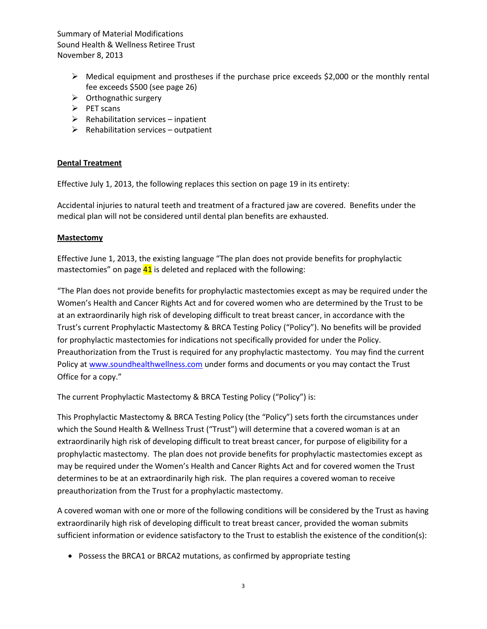- $\triangleright$  Medical equipment and prostheses if the purchase price exceeds \$2,000 or the monthly rental fee exceeds \$500 (see page 26)
- $\triangleright$  Orthognathic surgery
- $\triangleright$  PET scans
- $\triangleright$  Rehabilitation services inpatient
- $\triangleright$  Rehabilitation services outpatient

# **Dental Treatment**

Effective July 1, 2013, the following replaces this section on page 19 in its entirety:

Accidental injuries to natural teeth and treatment of a fractured jaw are covered. Benefits under the medical plan will not be considered until dental plan benefits are exhausted.

## **Mastectomy**

Effective June 1, 2013, the existing language "The plan does not provide benefits for prophylactic mastectomies" on page  $41$  is deleted and replaced with the following:

"The Plan does not provide benefits for prophylactic mastectomies except as may be required under the Women's Health and Cancer Rights Act and for covered women who are determined by the Trust to be at an extraordinarily high risk of developing difficult to treat breast cancer, in accordance with the Trust's current Prophylactic Mastectomy & BRCA Testing Policy ("Policy"). No benefits will be provided for prophylactic mastectomies for indications not specifically provided for under the Policy. Preauthorization from the Trust is required for any prophylactic mastectomy. You may find the current Policy at [www.soundhealthwellness.com](http://www.soundhealthwellness.com/) under forms and documents or you may contact the Trust Office for a copy."

The current Prophylactic Mastectomy & BRCA Testing Policy ("Policy") is:

This Prophylactic Mastectomy & BRCA Testing Policy (the "Policy") sets forth the circumstances under which the Sound Health & Wellness Trust ("Trust") will determine that a covered woman is at an extraordinarily high risk of developing difficult to treat breast cancer, for purpose of eligibility for a prophylactic mastectomy. The plan does not provide benefits for prophylactic mastectomies except as may be required under the Women's Health and Cancer Rights Act and for covered women the Trust determines to be at an extraordinarily high risk. The plan requires a covered woman to receive preauthorization from the Trust for a prophylactic mastectomy.

A covered woman with one or more of the following conditions will be considered by the Trust as having extraordinarily high risk of developing difficult to treat breast cancer, provided the woman submits sufficient information or evidence satisfactory to the Trust to establish the existence of the condition(s):

• Possess the BRCA1 or BRCA2 mutations, as confirmed by appropriate testing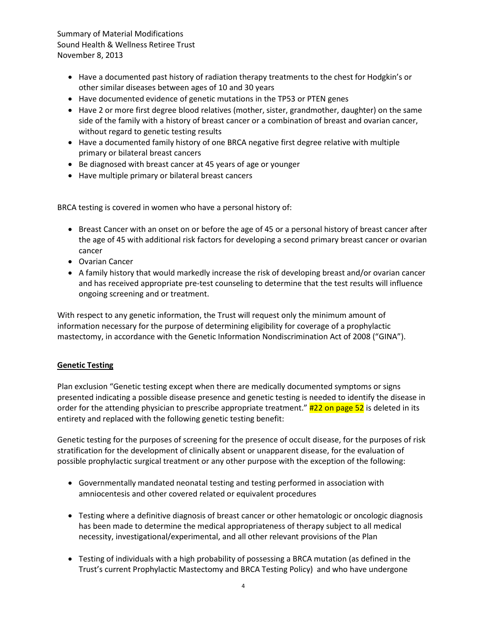- Have a documented past history of radiation therapy treatments to the chest for Hodgkin's or other similar diseases between ages of 10 and 30 years
- Have documented evidence of genetic mutations in the TP53 or PTEN genes
- Have 2 or more first degree blood relatives (mother, sister, grandmother, daughter) on the same side of the family with a history of breast cancer or a combination of breast and ovarian cancer, without regard to genetic testing results
- Have a documented family history of one BRCA negative first degree relative with multiple primary or bilateral breast cancers
- Be diagnosed with breast cancer at 45 years of age or younger
- Have multiple primary or bilateral breast cancers

BRCA testing is covered in women who have a personal history of:

- Breast Cancer with an onset on or before the age of 45 or a personal history of breast cancer after the age of 45 with additional risk factors for developing a second primary breast cancer or ovarian cancer
- Ovarian Cancer
- A family history that would markedly increase the risk of developing breast and/or ovarian cancer and has received appropriate pre-test counseling to determine that the test results will influence ongoing screening and or treatment.

With respect to any genetic information, the Trust will request only the minimum amount of information necessary for the purpose of determining eligibility for coverage of a prophylactic mastectomy, in accordance with the Genetic Information Nondiscrimination Act of 2008 ("GINA").

## **Genetic Testing**

Plan exclusion "Genetic testing except when there are medically documented symptoms or signs presented indicating a possible disease presence and genetic testing is needed to identify the disease in order for the attending physician to prescribe appropriate treatment."  $\#22$  on page 52 is deleted in its entirety and replaced with the following genetic testing benefit:

Genetic testing for the purposes of screening for the presence of occult disease, for the purposes of risk stratification for the development of clinically absent or unapparent disease, for the evaluation of possible prophylactic surgical treatment or any other purpose with the exception of the following:

- Governmentally mandated neonatal testing and testing performed in association with amniocentesis and other covered related or equivalent procedures
- Testing where a definitive diagnosis of breast cancer or other hematologic or oncologic diagnosis has been made to determine the medical appropriateness of therapy subject to all medical necessity, investigational/experimental, and all other relevant provisions of the Plan
- Testing of individuals with a high probability of possessing a BRCA mutation (as defined in the Trust's current Prophylactic Mastectomy and BRCA Testing Policy) and who have undergone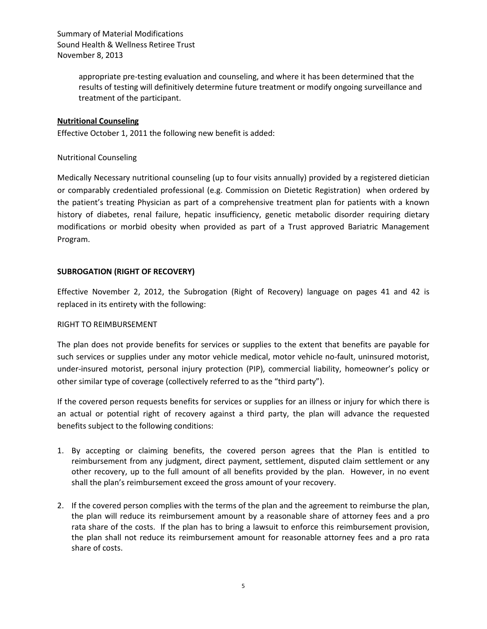> appropriate pre-testing evaluation and counseling, and where it has been determined that the results of testing will definitively determine future treatment or modify ongoing surveillance and treatment of the participant.

## **Nutritional Counseling**

Effective October 1, 2011 the following new benefit is added:

## Nutritional Counseling

Medically Necessary nutritional counseling (up to four visits annually) provided by a registered dietician or comparably credentialed professional (e.g. Commission on Dietetic Registration) when ordered by the patient's treating Physician as part of a comprehensive treatment plan for patients with a known history of diabetes, renal failure, hepatic insufficiency, genetic metabolic disorder requiring dietary modifications or morbid obesity when provided as part of a Trust approved Bariatric Management Program.

## **SUBROGATION (RIGHT OF RECOVERY)**

Effective November 2, 2012, the Subrogation (Right of Recovery) language on pages 41 and 42 is replaced in its entirety with the following:

### RIGHT TO REIMBURSEMENT

The plan does not provide benefits for services or supplies to the extent that benefits are payable for such services or supplies under any motor vehicle medical, motor vehicle no-fault, uninsured motorist, under-insured motorist, personal injury protection (PIP), commercial liability, homeowner's policy or other similar type of coverage (collectively referred to as the "third party").

If the covered person requests benefits for services or supplies for an illness or injury for which there is an actual or potential right of recovery against a third party, the plan will advance the requested benefits subject to the following conditions:

- 1. By accepting or claiming benefits, the covered person agrees that the Plan is entitled to reimbursement from any judgment, direct payment, settlement, disputed claim settlement or any other recovery, up to the full amount of all benefits provided by the plan. However, in no event shall the plan's reimbursement exceed the gross amount of your recovery.
- 2. If the covered person complies with the terms of the plan and the agreement to reimburse the plan, the plan will reduce its reimbursement amount by a reasonable share of attorney fees and a pro rata share of the costs. If the plan has to bring a lawsuit to enforce this reimbursement provision, the plan shall not reduce its reimbursement amount for reasonable attorney fees and a pro rata share of costs.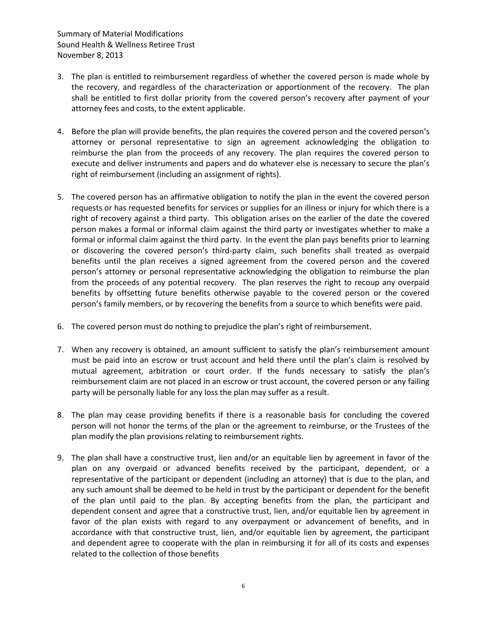- 3. The plan is entitled to reimbursement regardless of whether the covered person is made whole by the recovery, and regardless of the characterization or apportionment of the recovery. The plan shall be entitled to first dollar priority from the covered person's recovery after payment of your attorney fees and costs, to the extent applicable.
- 4. Before the plan will provide benefits, the plan requires the covered person and the covered person's attorney or personal representative to sign an agreement acknowledging the obligation to reimburse the plan from the proceeds of any recovery. The plan requires the covered person to execute and deliver instruments and papers and do whatever else is necessary to secure the plan's right of reimbursement (including an assignment of rights).
- 5. The covered person has an affirmative obligation to notify the plan in the event the covered person requests or has requested benefits for services or supplies for an illness or injury for which there is a right of recovery against a third party. This obligation arises on the earlier of the date the covered person makes a formal or informal claim against the third party or investigates whether to make a formal or informal claim against the third party. In the event the plan pays benefits prior to learning or discovering the covered person's third-party claim, such benefits shall treated as overpaid benefits until the plan receives a signed agreement from the covered person and the covered person's attorney or personal representative acknowledging the obligation to reimburse the plan from the proceeds of any potential recovery. The plan reserves the right to recoup any overpaid benefits by offsetting future benefits otherwise payable to the covered person or the covered person's family members, or by recovering the benefits from a source to which benefits were paid.
- 6. The covered person must do nothing to prejudice the plan's right of reimbursement.
- 7. When any recovery is obtained, an amount sufficient to satisfy the plan's reimbursement amount must be paid into an escrow or trust account and held there until the plan's claim is resolved by mutual agreement, arbitration or court order. If the funds necessary to satisfy the plan's reimbursement claim are not placed in an escrow or trust account, the covered person or any failing party will be personally liable for any loss the plan may suffer as a result.
- 8. The plan may cease providing benefits if there is a reasonable basis for concluding the covered person will not honor the terms of the plan or the agreement to reimburse, or the Trustees of the plan modify the plan provisions relating to reimbursement rights.
- 9. The plan shall have a constructive trust, lien and/or an equitable lien by agreement in favor of the plan on any overpaid or advanced benefits received by the participant, dependent, or a representative of the participant or dependent (including an attorney) that is due to the plan, and any such amount shall be deemed to be held in trust by the participant or dependent for the benefit of the plan until paid to the plan. By accepting benefits from the plan, the participant and dependent consent and agree that a constructive trust, lien, and/or equitable lien by agreement in favor of the plan exists with regard to any overpayment or advancement of benefits, and in accordance with that constructive trust, lien, and/or equitable lien by agreement, the participant and dependent agree to cooperate with the plan in reimbursing it for all of its costs and expenses related to the collection of those benefits